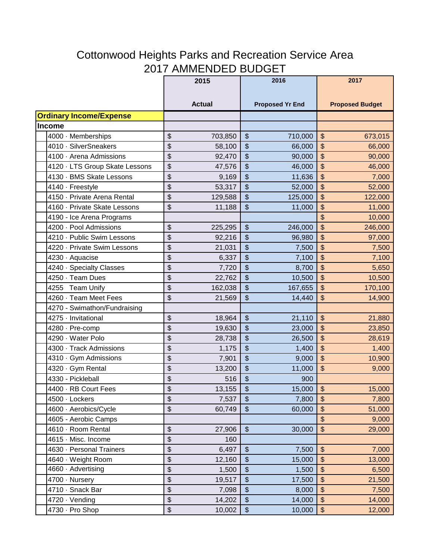## Cottonwood Heights Parks and Recreation Service Area 2017 AMMENDED BUDGET

|                                | 2015          | 2016                                      | 2017                                      |  |
|--------------------------------|---------------|-------------------------------------------|-------------------------------------------|--|
|                                |               |                                           |                                           |  |
|                                | <b>Actual</b> | <b>Proposed Yr End</b>                    | <b>Proposed Budget</b>                    |  |
| <b>Ordinary Income/Expense</b> |               |                                           |                                           |  |
| <b>Income</b>                  |               |                                           |                                           |  |
| 4000 · Memberships             | \$            | $\frac{1}{2}$                             | \$                                        |  |
|                                | 703,850       | 710,000                                   | 673,015                                   |  |
| 4010 · SilverSneakers          | \$            | \$                                        | \$                                        |  |
|                                | 58,100        | 66,000                                    | 66,000                                    |  |
| 4100 · Arena Admissions        | \$            | $\boldsymbol{\theta}$                     | \$                                        |  |
|                                | 92,470        | 90,000                                    | 90,000                                    |  |
| 4120 · LTS Group Skate Lessons | \$            | $\boldsymbol{\mathsf{\$}}$                | \$                                        |  |
|                                | 47,576        | 46,000                                    | 46,000                                    |  |
| 4130 · BMS Skate Lessons       | \$            | \$                                        | \$                                        |  |
|                                | 9,169         | 11,636                                    | 7,000                                     |  |
| 4140 - Freestyle               | \$            | $\overline{\mathcal{L}}$                  | $\sqrt{2}$                                |  |
|                                | 53,317        | 52,000                                    | 52,000                                    |  |
| 4150 · Private Arena Rental    | \$            | $\boldsymbol{\mathsf{\$}}$                | \$                                        |  |
|                                | 129,588       | 125,000                                   | 122,000                                   |  |
| 4160 · Private Skate Lessons   | \$            | $\boldsymbol{\theta}$                     | \$                                        |  |
|                                | 11,188        | 11,000                                    | 11,000                                    |  |
| 4190 - Ice Arena Programs      |               |                                           | \$<br>10,000                              |  |
| 4200 · Pool Admissions         | \$            | $\boldsymbol{\theta}$                     | \$                                        |  |
|                                | 225,295       | 246,000                                   | 246,000                                   |  |
| 4210 · Public Swim Lessons     | \$            | $\frac{1}{2}$                             | \$                                        |  |
|                                | 92,216        | 96,980                                    | 97,000                                    |  |
| 4220 · Private Swim Lessons    | \$            | $\boldsymbol{\mathsf{\$}}$                | \$                                        |  |
|                                | 21,031        | 7,500                                     | 7,500                                     |  |
| 4230 · Aquacise                | \$            | $\frac{1}{2}$                             | \$                                        |  |
|                                | 6,337         | 7,100                                     | 7,100                                     |  |
| 4240 · Specialty Classes       | \$            | $\boldsymbol{\mathsf{\$}}$                | $\sqrt[6]{\frac{1}{2}}$                   |  |
|                                | 7,720         | 8,700                                     | 5,650                                     |  |
| 4250 · Team Dues               | \$            | $\frac{1}{2}$                             | \$                                        |  |
|                                | 22,762        | 10,500                                    | 10,500                                    |  |
| 4255 Team Unify                | \$            | $\boldsymbol{\theta}$                     | \$                                        |  |
|                                | 162,038       | 167,655                                   | 170,100                                   |  |
| 4260 · Team Meet Fees          | \$            | \$                                        | \$                                        |  |
|                                | 21,569        | 14,440                                    | 14,900                                    |  |
| 4270 - Swimathon/Fundraising   |               |                                           |                                           |  |
| 4275 - Invitational            | \$            | $\frac{1}{2}$                             | $\frac{1}{2}$                             |  |
|                                | 18,964        | 21,110                                    | 21,880                                    |  |
| 4280 · Pre-comp                | \$            | $\boldsymbol{\mathsf{\$}}$                | \$                                        |  |
|                                | 19,630        | 23,000                                    | 23,850                                    |  |
| 4290 · Water Polo              | \$            | $\boldsymbol{\theta}$                     | \$                                        |  |
|                                | 28,738        | 26,500                                    | 28,619                                    |  |
| 4300 · Track Admissions        | \$            | $\boldsymbol{\theta}$                     | \$                                        |  |
|                                | 1,175         | 1,400                                     | 1,400                                     |  |
| 4310 Gym Admissions            | \$            | $\frac{1}{2}$                             | $\frac{1}{2}$                             |  |
|                                | 7,901         | 9,000                                     | 10,900                                    |  |
| 4320 · Gym Rental              | \$            | $\boldsymbol{\theta}$                     | $\frac{1}{2}$                             |  |
|                                | 13,200        | 11,000                                    | 9,000                                     |  |
| 4330 - Pickleball              | \$<br>516     | $\boldsymbol{\theta}$<br>900              |                                           |  |
| 4400 · RB Court Fees           | \$            | $\sqrt{2}$                                | $\boldsymbol{\mathsf{S}}$                 |  |
|                                | 13,155        | 15,000                                    | 15,000                                    |  |
| 4500 · Lockers                 | \$            | $\frac{1}{2}$                             | $\boldsymbol{\mathsf{S}}$                 |  |
|                                | 7,537         | 7,800                                     | 7,800                                     |  |
| 4600 Aerobics/Cycle            | \$            | $\, \, \raisebox{12pt}{$\scriptstyle \$}$ | $\, \, \raisebox{12pt}{$\scriptstyle \$}$ |  |
|                                | 60,749        | 60,000                                    | 51,000                                    |  |
| 4605 - Aerobic Camps           |               |                                           | $\frac{1}{2}$<br>9,000                    |  |
| 4610 · Room Rental             | \$            | $\frac{1}{2}$                             | $$\mathbb{S}$$                            |  |
|                                | 27,906        | 30,000                                    | 29,000                                    |  |
| 4615 · Misc. Income            | \$<br>160     |                                           |                                           |  |
| 4630 · Personal Trainers       | \$            | $\boldsymbol{\theta}$                     | $$\mathbb{S}$$                            |  |
|                                | 6,497         | 7,500                                     | 7,000                                     |  |
| 4640 · Weight Room             | \$            | $\boldsymbol{\$}$                         | $\, \, \raisebox{12pt}{$\scriptstyle \$}$ |  |
|                                | 12,160        | 15,000                                    | 13,000                                    |  |
| 4660 · Advertising             | \$            | $\boldsymbol{\$}$                         | $$\mathfrak{F}$$                          |  |
|                                | 1,500         | 1,500                                     | 6,500                                     |  |
| 4700 Nursery                   | \$            | $\boldsymbol{\theta}$                     | $\boldsymbol{\$}$                         |  |
|                                | 19,517        | 17,500                                    | 21,500                                    |  |
| 4710 · Snack Bar               | \$            | $\boldsymbol{\$}$                         | $\boldsymbol{\$}$                         |  |
|                                | 7,098         | 8,000                                     | 7,500                                     |  |
| 4720 · Vending                 | \$            | $\boldsymbol{\$}$                         | $\, \, \raisebox{12pt}{$\scriptstyle \$}$ |  |
|                                | 14,202        | 14,000                                    | 14,000                                    |  |
| 4730 · Pro Shop                | \$            | $\, \, \raisebox{12pt}{$\scriptstyle \$}$ | $\,$                                      |  |
|                                | 10,002        | 10,000                                    | 12,000                                    |  |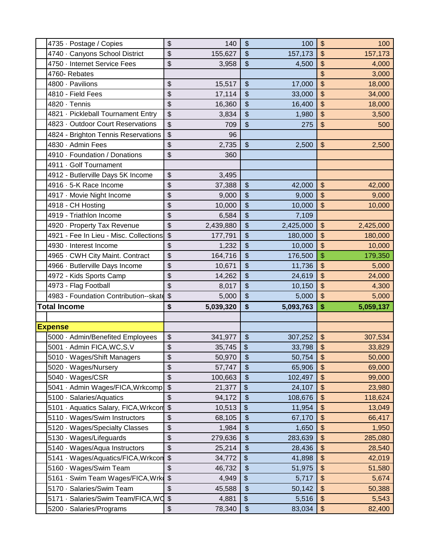| 4735 · Postage / Copies                | \$                        | 140       | \$                         | 100       | \$                         | 100       |
|----------------------------------------|---------------------------|-----------|----------------------------|-----------|----------------------------|-----------|
| 4740 · Canyons School District         | \$                        | 155,627   | \$                         | 157,173   | \$                         | 157,173   |
| 4750 - Internet Service Fees           | \$                        | 3,958     | $\frac{1}{2}$              | 4,500     | \$                         | 4,000     |
| 4760- Rebates                          |                           |           |                            |           | \$                         | 3,000     |
| 4800 · Pavilions                       | \$                        | 15,517    | $\frac{1}{2}$              | 17,000    | \$                         | 18,000    |
| 4810 - Field Fees                      | \$                        | 17,114    | \$                         | 33,000    | \$                         | 34,000    |
| 4820 · Tennis                          | \$                        | 16,360    | \$                         | 16,400    | \$                         | 18,000    |
| 4821 · Pickleball Tournament Entry     | \$                        | 3,834     | $\boldsymbol{\mathsf{S}}$  | 1,980     | \$                         | 3,500     |
| 4823 · Outdoor Court Reservations      | \$                        | 709       | $\frac{1}{2}$              | 275       | $\boldsymbol{\mathsf{\$}}$ | 500       |
| 4824 - Brighton Tennis Reservations    | \$                        | 96        |                            |           |                            |           |
| 4830 · Admin Fees                      | \$                        | 2,735     | $\frac{1}{2}$              | 2,500     | $$\mathfrak{F}$$           | 2,500     |
| 4910 · Foundation / Donations          | \$                        | 360       |                            |           |                            |           |
| 4911 Golf Tournament                   |                           |           |                            |           |                            |           |
| 4912 - Butlerville Days 5K Income      | \$                        | 3,495     |                            |           |                            |           |
| 4916 · 5-K Race Income                 | \$                        | 37,388    | $\frac{1}{2}$              | 42,000    | $\frac{1}{2}$              | 42,000    |
| 4917 · Movie Night Income              | \$                        | 9,000     | $\frac{1}{2}$              | 9,000     | \$                         | 9,000     |
| 4918 - CH Hosting                      | \$                        | 10,000    | $\frac{1}{2}$              | 10,000    | $\frac{1}{2}$              | 10,000    |
| 4919 - Triathlon Income                | \$                        | 6,584     | \$                         | 7,109     |                            |           |
| 4920 · Property Tax Revenue            | \$                        | 2,439,880 | \$                         | 2,425,000 | \$                         | 2,425,000 |
| 4921 - Fee In Lieu - Misc. Collections | $\frac{1}{2}$             | 177,791   | \$                         | 180,000   | \$                         | 180,000   |
| 4930 · Interest Income                 | \$                        | 1,232     | \$                         | 10,000    | \$                         | 10,000    |
| 4965 CWH City Maint. Contract          | \$                        | 164,716   | \$                         | 176,500   | \$                         | 179,350   |
| 4966 · Butlerville Days Income         | \$                        | 10,671    | \$                         | 11,736    | $\frac{1}{2}$              | 5,000     |
| 4972 - Kids Sports Camp                | \$                        | 14,262    | \$                         | 24,619    | \$                         | 24,000    |
|                                        |                           |           |                            |           |                            |           |
| 4973 - Flag Football                   | \$                        | 8,017     | $\frac{1}{2}$              | 10,150    | \$                         | 4,300     |
| 4983 - Foundation Contribution--skate  | $\sqrt{2}$                | 5,000     | $\sqrt{2}$                 | 5,000     | $\frac{1}{2}$              | 5,000     |
| <b>Total Income</b>                    | \$                        | 5,039,320 | \$                         | 5,093,763 | \$                         | 5,059,137 |
|                                        |                           |           |                            |           |                            |           |
| <b>Expense</b>                         |                           |           |                            |           |                            |           |
| 5000 · Admin/Benefited Employees       | \$                        | 341,977   | $\frac{1}{2}$              | 307,252   | $\boldsymbol{\mathsf{\$}}$ | 307,534   |
| 5001 · Admin FICA, WC, S, V            | \$                        | 35,745    | $\boldsymbol{\$}$          | 33,798    | \$                         | 33,829    |
| 5010 · Wages/Shift Managers            | \$                        | 50,970    | $\overline{\mathbf{3}}$    | 50,754    | \$                         | 50,000    |
| 5020 · Wages/Nursery                   | \$                        | 57,747    | \$                         | 65,906    | $\frac{1}{2}$              | 69,000    |
| 5040 · Wages/CSR                       | \$                        | 100,663   | \$                         | 102,497   | \$                         | 99,000    |
| 5041 · Admin Wages/FICA, Wrkcomp       | \$                        | 21,377    | \$                         | 24,107    | \$                         | 23,980    |
| 5100 · Salaries/Aquatics               | \$                        | 94,172    | \$                         | 108,676   | \$                         | 118,624   |
| 5101 · Aquatics Salary, FICA, Wrkcom   | $\boldsymbol{\mathsf{S}}$ | 10,513    | \$                         | 11,954    | $\,$                       | 13,049    |
| 5110 · Wages/Swim Instructors          | \$                        | 68,105    | $\boldsymbol{\theta}$      | 67,170    | \$                         | 66,417    |
| 5120 · Wages/Specialty Classes         | \$                        | 1,984     | $\frac{1}{2}$              | 1,650     | \$                         | 1,950     |
| 5130 · Wages/Lifeguards                | \$                        | 279,636   | $\boldsymbol{\mathsf{\$}}$ | 283,639   | \$                         | 285,080   |
| 5140 · Wages/Aqua Instructors          | \$                        | 25,214    | \$                         | 28,436    | \$                         | 28,540    |
| 5141 · Wages/Aquatics/FICA, Wrkcon     | $\boldsymbol{\$}$         | 34,772    | \$                         | 41,898    | \$                         | 42,019    |
| 5160 · Wages/Swim Team                 | \$                        | 46,732    | $\boldsymbol{\theta}$      | 51,975    | \$                         | 51,580    |
| 5161 · Swim Team Wages/FICA, Wrk       | \$                        | 4,949     | \$                         | 5,717     | \$                         | 5,674     |
| 5170 · Salaries/Swim Team              | \$                        | 45,588    | $\boldsymbol{\$}$          | 50,142    | \$                         | 50,388    |
| 5171 · Salaries/Swim Team/FICA, WO     | $\,$                      | 4,881     | \$<br>$\boldsymbol{\$}$    | 5,516     | $\,$                       | 5,543     |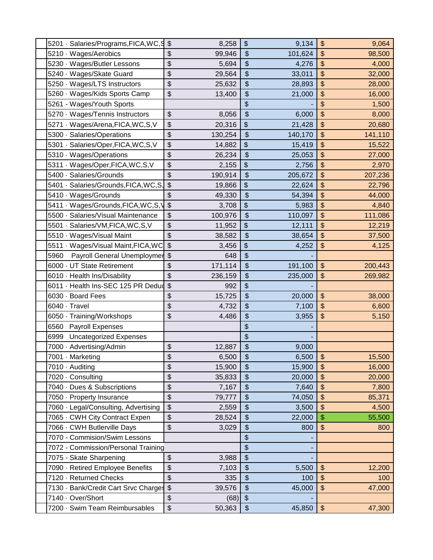| 5201 · Salaries/Programs, FICA, WC, 9 | $\frac{1}{2}$<br>8,258 | \$                         | 9,134      | $\frac{1}{2}$<br>9,064           |
|---------------------------------------|------------------------|----------------------------|------------|----------------------------------|
| 5210 · Wages/Aerobics                 | \$<br>99,946           | $\frac{1}{2}$              | 101,624    | \$<br>98,500                     |
| 5230 · Wages/Butler Lessons           | \$<br>5,694            | $\boldsymbol{\theta}$      | 4,276      | \$<br>4,000                      |
| 5240 · Wages/Skate Guard              | \$<br>29,564           | \$                         | 33,011     | \$<br>32,000                     |
| 5250 · Wages/LTS Instructors          | \$<br>25,632           | $\boldsymbol{\theta}$      | 28,893     | $\frac{1}{2}$<br>28,000          |
| 5260 · Wages/Kids Sports Camp         | \$<br>13,400           | \$                         | 21,000     | \$<br>16,000                     |
| 5261 - Wages/Youth Sports             |                        | \$                         |            | \$<br>1,500                      |
| 5270 · Wages/Tennis Instructors       | \$<br>8,056            | $\boldsymbol{\$}$          | 6,000      | \$<br>8,000                      |
| 5271 · Wages/Arena, FICA, WC, S, V    | \$<br>20,316           | \$                         | 21,428     | \$<br>20,680                     |
| 5300 · Salaries/Operations            | \$<br>130,254          | $\frac{1}{2}$              | 140,170    | $\frac{1}{2}$<br>141,110         |
| 5301 · Salaries/Oper, FICA, WC, S, V  | \$<br>14,882           | \$                         | 15,419     | \$<br>15,522                     |
| 5310 · Wages/Operations               | \$<br>26,234           | \$                         | 25,053     | \$<br>27,000                     |
| 5311 · Wages/Oper, FICA, WC, S, V     | \$<br>2,155            | \$                         | 2,756      | \$<br>2,970                      |
| 5400 · Salaries/Grounds               | \$<br>190,914          | $\boldsymbol{\theta}$      | 205,672    | \$<br>207,236                    |
| 5401 · Salaries/Grounds, FICA, WC, S, | \$<br>19,866           | \$                         | 22,624     | \$<br>22,796                     |
| 5410 · Wages/Grounds                  | \$<br>49,330           | $\boldsymbol{\theta}$      | 54,394     | \$<br>44,000                     |
| 5411 · Wages/Grounds, FICA, WC, S, V  | \$<br>3,708            | \$                         | 5,983      | \$<br>4,840                      |
| 5500 · Salaries/Visual Maintenance    | \$<br>100,976          | $\frac{1}{2}$              | 110,097    | $\frac{1}{2}$<br>111,086         |
| 5501 · Salaries/VM, FICA, WC, S, V    | \$<br>11,952           | \$                         | 12,111     | \$<br>12,219                     |
| 5510 · Wages/Visual Maint             | \$<br>38,582           | $\boldsymbol{\theta}$      | 38,654     | \$<br>37,500                     |
| 5511 · Wages/Visual Maint, FICA, WC   | \$<br>3,456            | \$                         | 4,252      | \$<br>4,125                      |
| Payroll General Unemploymer<br>5960   | $\frac{1}{2}$<br>648   | \$                         |            |                                  |
| 6000 · UT State Retirement            | \$<br>171,114          | $\boldsymbol{\theta}$      | 191,100    | $\frac{1}{2}$<br>200,443         |
| 6010 · Health Ins/Disability          | \$<br>236,159          | \$                         | 235,000    | \$<br>269,982                    |
| 6011 · Health Ins-SEC 125 PR Dedud    | \$<br>992              | $$\mathfrak{F}$$           |            |                                  |
| 6030 · Board Fees                     | \$<br>15,725           | $\boldsymbol{\theta}$      | 20,000     | $\frac{1}{2}$<br>38,000          |
| 6040 · Travel                         | \$<br>4,732            | \$                         | 7,100      | \$<br>6,600                      |
| 6050 · Training/Workshops             | \$<br>4,486            | \$                         | 3,955      | \$<br>5,150                      |
| <b>Payroll Expenses</b><br>6560       |                        | \$                         |            |                                  |
| 6999 Uncategorized Expenses           |                        | \$                         |            |                                  |
| 7000 · Advertising/Admin              | \$<br>12,887           | $\boldsymbol{\$}$          | 9,000      |                                  |
| 7001 · Marketing                      | \$<br>6,500            | $\boldsymbol{\mathsf{\$}}$ | $6,500$ \$ | 15,500                           |
| 7010 - Auditing                       | \$<br>15,900           | $\frac{1}{2}$              | 15,900     | \$<br>16,000                     |
| 7020 · Consulting                     | \$<br>35,833           | $\frac{1}{2}$              | 20,000     | $\frac{1}{2}$<br>20,000          |
| 7040 · Dues & Subscriptions           | \$<br>7,167            | \$                         | 7,640      | \$<br>7,800                      |
| 7050 · Property Insurance             | \$<br>79,777           | $\boldsymbol{\theta}$      | 74,050     | \$<br>85,371                     |
| 7060 · Legal/Consulting, Advertising  | \$<br>2,559            | $\frac{1}{2}$              | 3,500      | \$<br>4,500                      |
| 7065 · CWH City Contract Expen        | \$<br>28,524           | \$                         | 22,000     | \$<br>55,500                     |
| 7066 CWH Butlerville Days             | \$<br>3,029            | $\boldsymbol{\theta}$      | 800        | $\boldsymbol{\mathsf{S}}$<br>800 |
| 7070 - Commision/Swim Lessons         |                        | \$                         |            |                                  |
| 7072 - Commission/Personal Training   |                        | \$                         |            |                                  |
| 7075 - Skate Sharpening               | \$<br>3,988            | \$                         |            |                                  |
| 7090 · Retired Employee Benefits      | \$<br>7,103            | $\boldsymbol{\theta}$      | 5,500      | $\frac{1}{2}$<br>12,200          |
| 7120 · Returned Checks                | \$<br>335              | $\boldsymbol{\theta}$      | 100        | $\frac{1}{2}$<br>100             |
| 7130 · Bank/Credit Cart Srvc Charges  | \$<br>39,576           | $\boldsymbol{\theta}$      | 45,000     | \$<br>47,000                     |
| 7140 · Over/Short                     | \$<br>(68)             | $\,$                       |            |                                  |
| 7200 · Swim Team Reimbursables        | \$<br>50,363           | $\boldsymbol{\$}$          | 45,850     | $\boldsymbol{\$}$<br>47,300      |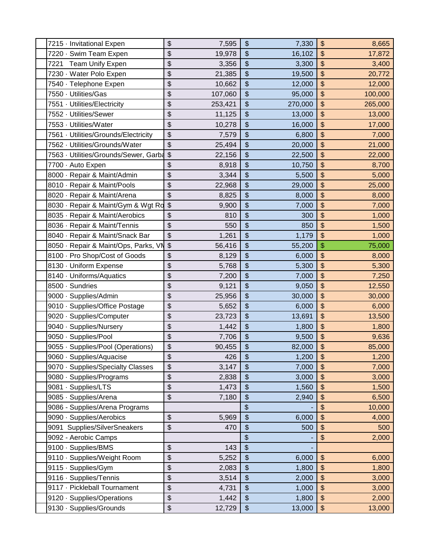| 7215 · Invitational Expen             | \$                        | 7,595   | \$                         | 7,330   | \$                        | 8,665   |
|---------------------------------------|---------------------------|---------|----------------------------|---------|---------------------------|---------|
| 7220 · Swim Team Expen                | \$                        | 19,978  | $\frac{1}{2}$              | 16,102  | \$                        | 17,872  |
| Team Unify Expen<br>7221              | \$                        | 3,356   | \$                         | 3,300   | \$                        | 3,400   |
| 7230 · Water Polo Expen               | \$                        | 21,385  | $\boldsymbol{\theta}$      | 19,500  | \$                        | 20,772  |
| 7540 · Telephone Expen                | \$                        | 10,662  | $\frac{1}{2}$              | 12,000  | \$                        | 12,000  |
| 7550 · Utilities/Gas                  | \$                        | 107,060 | \$                         | 95,000  | \$                        | 100,000 |
| 7551 · Utilities/Electricity          | \$                        | 253,421 | $\frac{1}{2}$              | 270,000 | \$                        | 265,000 |
| 7552 · Utilities/Sewer                | \$                        | 11,125  | $\frac{1}{2}$              | 13,000  | \$                        | 13,000  |
| 7553 Utilities/Water                  | \$                        | 10,278  | $\boldsymbol{\theta}$      | 16,000  | \$                        | 17,000  |
| 7561 · Utilities/Grounds/Electricity  | \$                        | 7,579   | \$                         | 6,800   | \$                        | 7,000   |
| 7562 · Utilities/Grounds/Water        | \$                        | 25,494  | $\boldsymbol{\theta}$      | 20,000  | \$                        | 21,000  |
| 7563 · Utilities/Grounds/Sewer, Garba | $\sqrt[6]{\frac{1}{2}}$   | 22,156  | \$                         | 22,500  | \$                        | 22,000  |
| 7700 - Auto Expen                     | \$                        | 8,918   | \$                         | 10,750  | \$                        | 8,700   |
| 8000 · Repair & Maint/Admin           | \$                        | 3,344   | $\overline{\mathcal{S}}$   | 5,500   | \$                        | 5,000   |
| 8010 · Repair & Maint/Pools           | \$                        | 22,968  | $\frac{1}{2}$              | 29,000  | \$                        | 25,000  |
| 8020 · Repair & Maint/Arena           | \$                        | 8,825   | \$                         | 8,000   | \$                        | 8,000   |
| 8030 · Repair & Maint/Gym & Wgt Ro    | $\frac{1}{2}$             | 9,900   | $\boldsymbol{\theta}$      | 7,000   | \$                        | 7,000   |
| 8035 · Repair & Maint/Aerobics        | \$                        | 810     | \$                         | 300     | \$                        | 1,000   |
| 8036 · Repair & Maint/Tennis          | \$                        | 550     | \$                         | 850     | \$                        | 1,500   |
| 8040 · Repair & Maint/Snack Bar       | \$                        | 1,261   | \$                         | 1,179   | \$                        | 1,000   |
| 8050 · Repair & Maint/Ops, Parks, VN  | $\boldsymbol{\mathsf{S}}$ | 56,416  | $\frac{1}{2}$              | 55,200  | \$                        | 75,000  |
| 8100 · Pro Shop/Cost of Goods         | \$                        | 8,129   | \$                         | 6,000   | \$                        | 8,000   |
| 8130 · Uniform Expense                | \$                        | 5,768   | $\frac{1}{2}$              | 5,300   | \$                        | 5,300   |
| 8140 · Uniforms/Aquatics              | \$                        | 7,200   | \$                         | 7,000   | \$                        | 7,250   |
| 8500 · Sundries                       | \$                        | 9,121   | $\boldsymbol{\theta}$      | 9,050   | \$                        | 12,550  |
| 9000 · Supplies/Admin                 | \$                        | 25,956  | $\frac{1}{2}$              | 30,000  | \$                        | 30,000  |
| 9010 · Supplies/Office Postage        | \$                        | 5,652   | \$                         | 6,000   | \$                        | 6,000   |
| 9020 · Supplies/Computer              | \$                        | 23,723  | \$                         | 13,691  | \$                        | 13,500  |
| 9040 · Supplies/Nursery               | \$                        | 1,442   | \$                         | 1,800   | \$                        | 1,800   |
| 9050 · Supplies/Pool                  | \$                        | 7,706   | $\boldsymbol{\theta}$      | 9,500   | \$                        | 9,636   |
| 9055 · Supplies/Pool (Operations)     | \$                        | 90,455  | \$                         | 82,000  | \$                        | 85,000  |
| 9060 · Supplies/Aquacise              | $\overline{\mathcal{L}}$  | 426     | $\boldsymbol{\mathsf{S}}$  | 1,200   | $\boldsymbol{\mathsf{S}}$ | 1,200   |
| 9070 · Supplies/Specialty Classes     | \$                        | 3,147   | $\frac{1}{2}$              | 7,000   | $\frac{1}{2}$             | 7,000   |
| 9080 · Supplies/Programs              | \$                        | 2,838   | $\frac{1}{2}$              | 3,000   | \$                        | 3,000   |
| 9081 · Supplies/LTS                   | \$                        | 1,473   | $\boldsymbol{\mathsf{\$}}$ | 1,560   | \$                        | 1,500   |
| 9085 · Supplies/Arena                 | \$                        | 7,180   | \$                         | 2,940   | \$                        | 6,500   |
| 9086 - Supplies/Arena Programs        |                           |         | $\overline{\mathcal{S}}$   |         | \$                        | 10,000  |
| 9090 · Supplies/Aerobics              | \$                        | 5,969   | $\boldsymbol{\theta}$      | 6,000   | \$                        | 4,000   |
| 9091 Supplies/SilverSneakers          | \$                        | 470     | \$                         | 500     | \$                        | 500     |
| 9092 - Aerobic Camps                  |                           |         | $\boldsymbol{\$}$          |         | \$                        | 2,000   |
| 9100 · Supplies/BMS                   | \$                        | 143     | $\boldsymbol{\theta}$      |         |                           |         |
| 9110 · Supplies/Weight Room           | \$                        | 5,252   | \$                         | 6,000   | \$                        | 6,000   |
| 9115 · Supplies/Gym                   | \$                        | 2,083   | $\boldsymbol{\mathsf{\$}}$ | 1,800   | \$                        | 1,800   |
| 9116 · Supplies/Tennis                | \$                        | 3,514   | $\frac{1}{2}$              | 2,000   | \$                        | 3,000   |
| 9117 · Pickleball Tournament          | \$                        | 4,731   | \$                         | 1,000   | \$                        | 3,000   |
| 9120 · Supplies/Operations            | \$                        | 1,442   | $\frac{1}{2}$              | 1,800   | \$                        | 2,000   |
| 9130 · Supplies/Grounds               | \$                        | 12,729  | $\boldsymbol{\$}$          | 13,000  | \$                        | 13,000  |